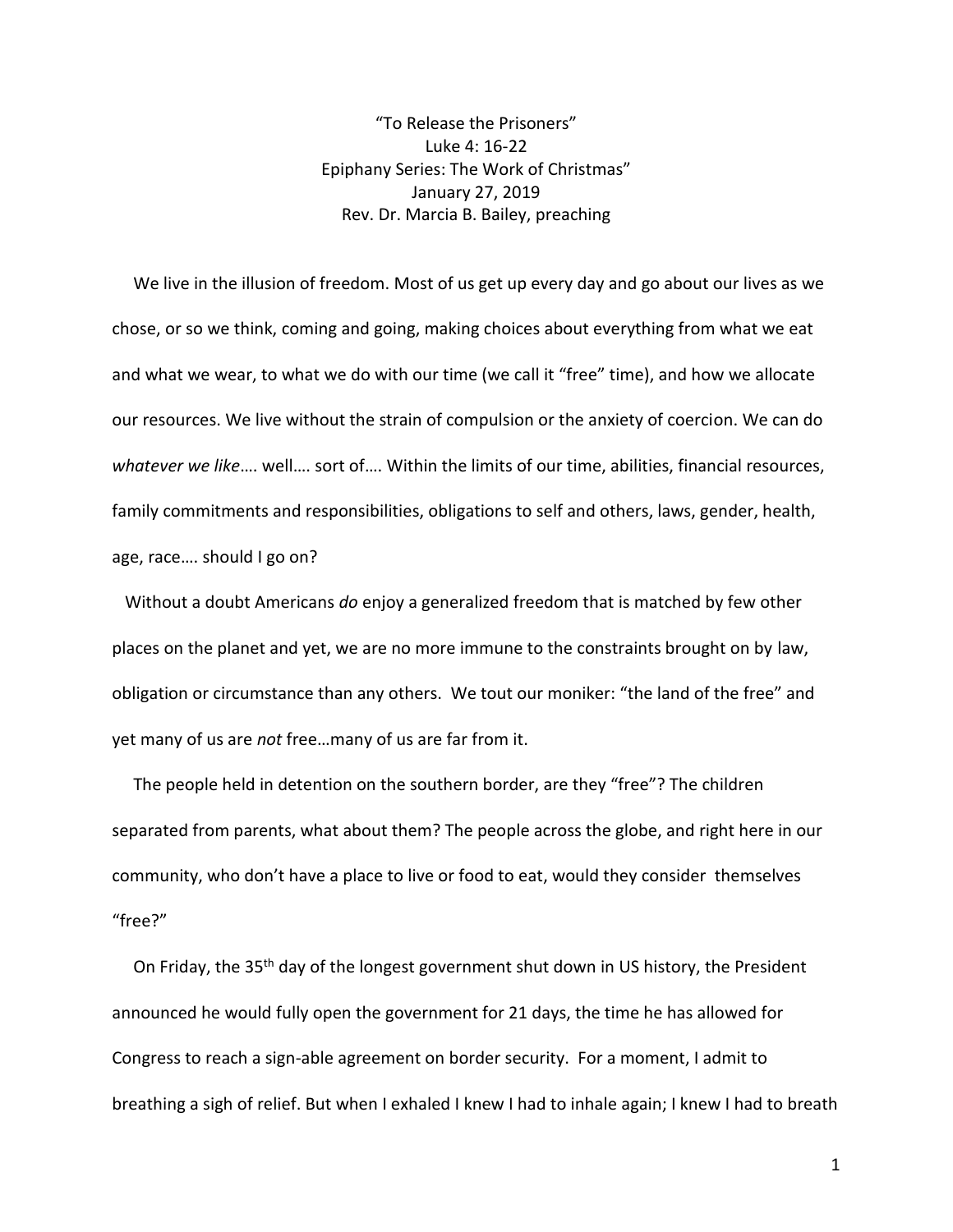"To Release the Prisoners" Luke 4: 16-22 Epiphany Series: The Work of Christmas" January 27, 2019 Rev. Dr. Marcia B. Bailey, preaching

 We live in the illusion of freedom. Most of us get up every day and go about our lives as we chose, or so we think, coming and going, making choices about everything from what we eat and what we wear, to what we do with our time (we call it "free" time), and how we allocate our resources. We live without the strain of compulsion or the anxiety of coercion. We can do *whatever we like*…. well…. sort of…. Within the limits of our time, abilities, financial resources, family commitments and responsibilities, obligations to self and others, laws, gender, health, age, race…. should I go on?

 Without a doubt Americans *do* enjoy a generalized freedom that is matched by few other places on the planet and yet, we are no more immune to the constraints brought on by law, obligation or circumstance than any others. We tout our moniker: "the land of the free" and yet many of us are *not* free…many of us are far from it.

 The people held in detention on the southern border, are they "free"? The children separated from parents, what about them? The people across the globe, and right here in our community, who don't have a place to live or food to eat, would they consider themselves "free?"

On Friday, the 35<sup>th</sup> day of the longest government shut down in US history, the President announced he would fully open the government for 21 days, the time he has allowed for Congress to reach a sign-able agreement on border security. For a moment, I admit to breathing a sigh of relief. But when I exhaled I knew I had to inhale again; I knew I had to breath

1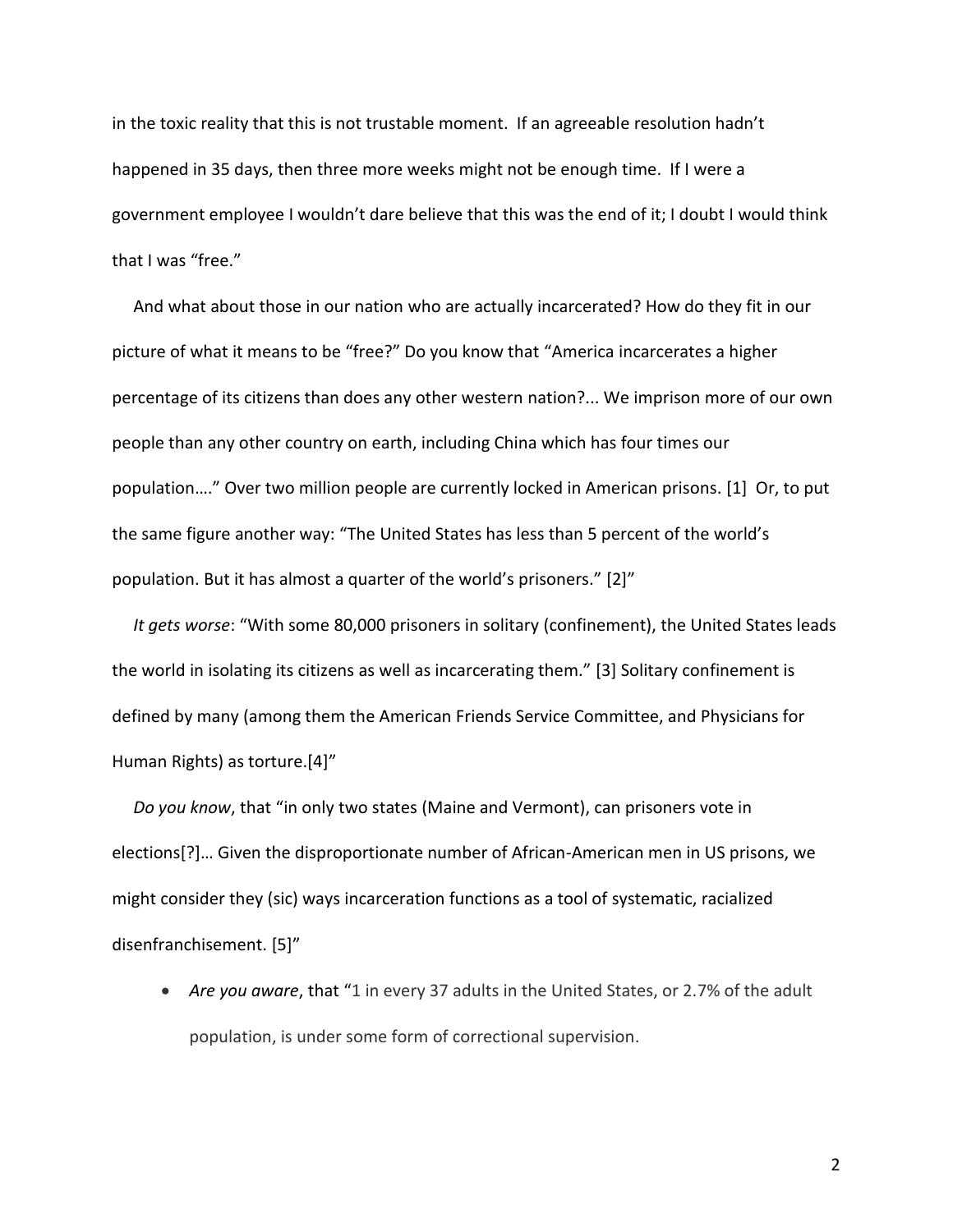in the toxic reality that this is not trustable moment. If an agreeable resolution hadn't happened in 35 days, then three more weeks might not be enough time. If I were a government employee I wouldn't dare believe that this was the end of it; I doubt I would think that I was "free."

 And what about those in our nation who are actually incarcerated? How do they fit in our picture of what it means to be "free?" Do you know that "America incarcerates a higher percentage of its citizens than does any other western nation?... We imprison more of our own people than any other country on earth, including China which has four times our population…." Over two million people are currently locked in American prisons. [1] Or, to put the same figure another way: "The United States has less than 5 percent of the world's population. But it has almost a quarter of the world's prisoners." [2]"

 *It gets worse*: "With some 80,000 prisoners in solitary (confinement), the United States leads the world in isolating its citizens as well as incarcerating them." [3] Solitary confinement is defined by many (among them the American Friends Service Committee, and Physicians for Human Rights) as torture.[4]"

 *Do you know*, that "in only two states (Maine and Vermont), can prisoners vote in elections[?]… Given the disproportionate number of African-American men in US prisons, we might consider they (sic) ways incarceration functions as a tool of systematic, racialized disenfranchisement. [5]"

• *Are you aware*, that "1 in every 37 adults in the United States, or 2.7% of the adult population, is under some form of correctional supervision.

2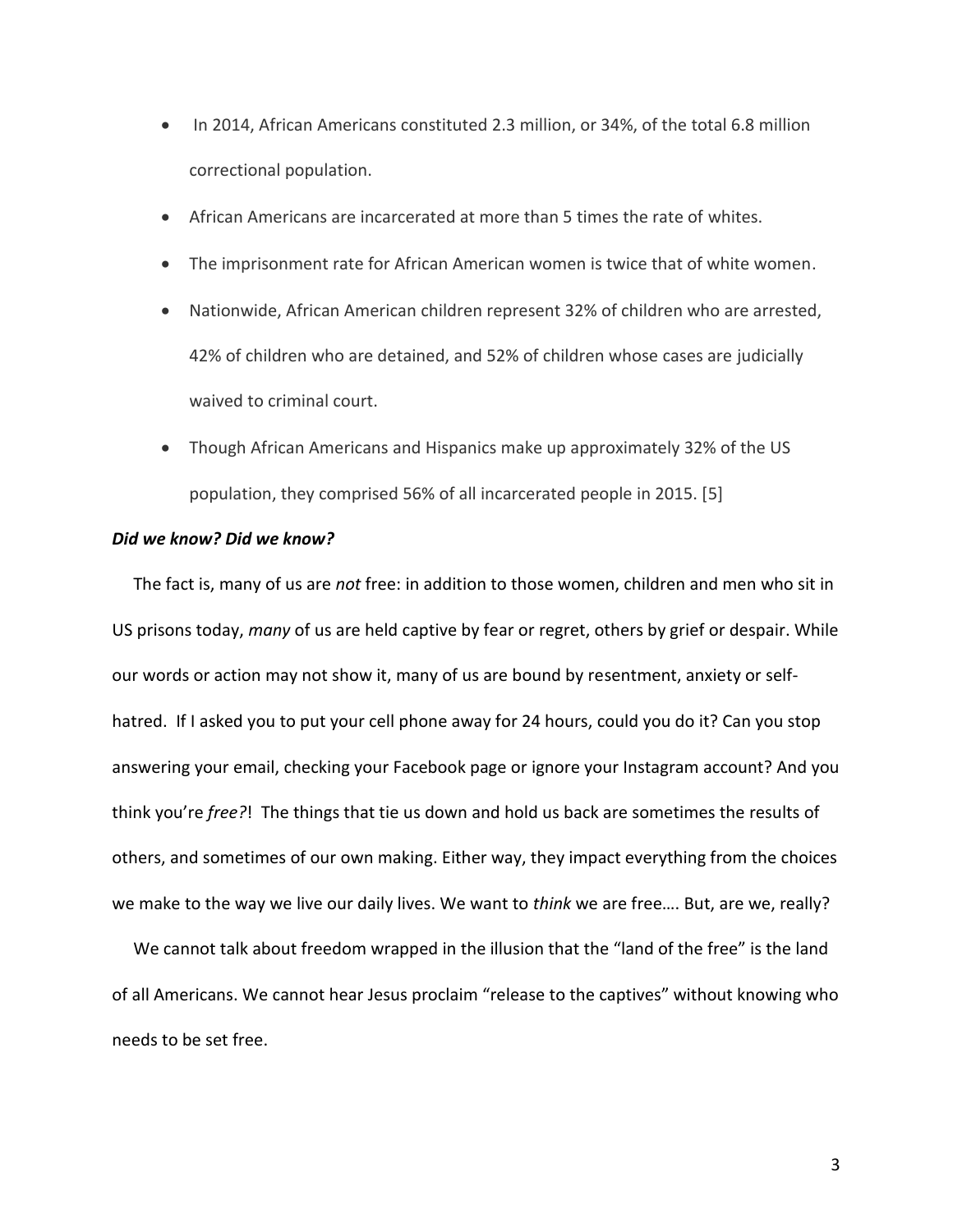- In 2014, African Americans constituted 2.3 million, or 34%, of the total 6.8 million correctional population.
- African Americans are incarcerated at more than 5 times the rate of whites.
- The imprisonment rate for African American women is twice that of white women.
- Nationwide, African American children represent 32% of children who are arrested, 42% of children who are detained, and 52% of children whose cases are judicially waived to criminal court.
- Though African Americans and Hispanics make up approximately 32% of the US population, they comprised 56% of all incarcerated people in 2015. [5]

## *Did we know? Did we know?*

 The fact is, many of us are *not* free: in addition to those women, children and men who sit in US prisons today, *many* of us are held captive by fear or regret, others by grief or despair. While our words or action may not show it, many of us are bound by resentment, anxiety or selfhatred. If I asked you to put your cell phone away for 24 hours, could you do it? Can you stop answering your email, checking your Facebook page or ignore your Instagram account? And you think you're *free?*! The things that tie us down and hold us back are sometimes the results of others, and sometimes of our own making. Either way, they impact everything from the choices we make to the way we live our daily lives. We want to *think* we are free…. But, are we, really?

 We cannot talk about freedom wrapped in the illusion that the "land of the free" is the land of all Americans. We cannot hear Jesus proclaim "release to the captives" without knowing who needs to be set free.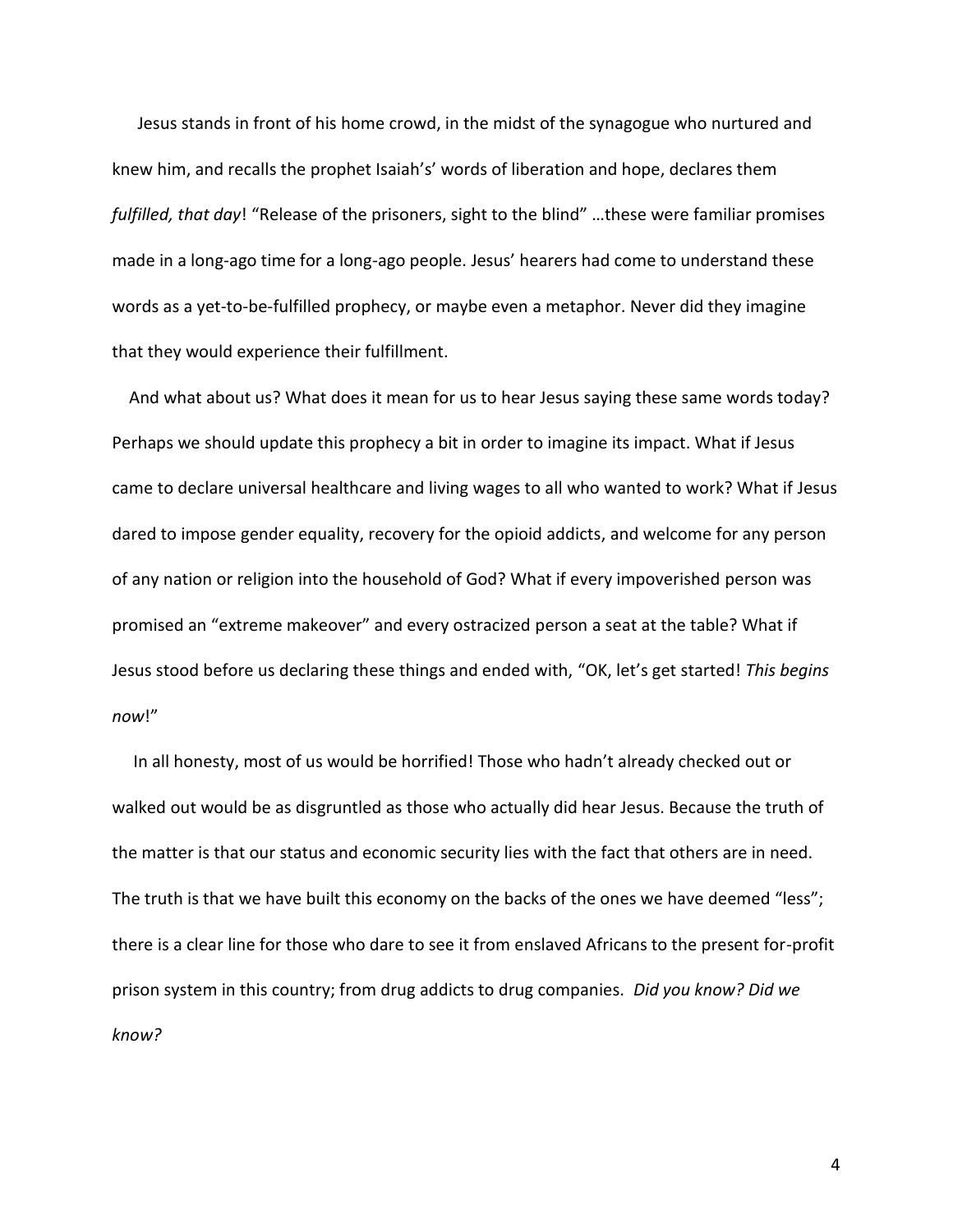Jesus stands in front of his home crowd, in the midst of the synagogue who nurtured and knew him, and recalls the prophet Isaiah's' words of liberation and hope, declares them *fulfilled, that day*! "Release of the prisoners, sight to the blind" …these were familiar promises made in a long-ago time for a long-ago people. Jesus' hearers had come to understand these words as a yet-to-be-fulfilled prophecy, or maybe even a metaphor. Never did they imagine that they would experience their fulfillment.

 And what about us? What does it mean for us to hear Jesus saying these same words today? Perhaps we should update this prophecy a bit in order to imagine its impact. What if Jesus came to declare universal healthcare and living wages to all who wanted to work? What if Jesus dared to impose gender equality, recovery for the opioid addicts, and welcome for any person of any nation or religion into the household of God? What if every impoverished person was promised an "extreme makeover" and every ostracized person a seat at the table? What if Jesus stood before us declaring these things and ended with, "OK, let's get started! *This begins now*!"

 In all honesty, most of us would be horrified! Those who hadn't already checked out or walked out would be as disgruntled as those who actually did hear Jesus. Because the truth of the matter is that our status and economic security lies with the fact that others are in need. The truth is that we have built this economy on the backs of the ones we have deemed "less"; there is a clear line for those who dare to see it from enslaved Africans to the present for-profit prison system in this country; from drug addicts to drug companies. *Did you know? Did we know?*

4